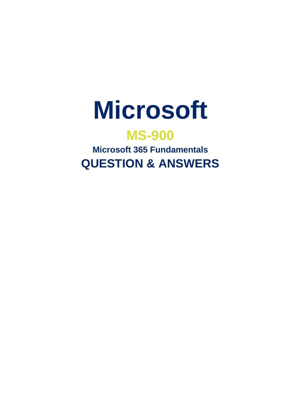

# **MS-900**

**Microsoft 365 Fundamentals QUESTION & ANSWERS**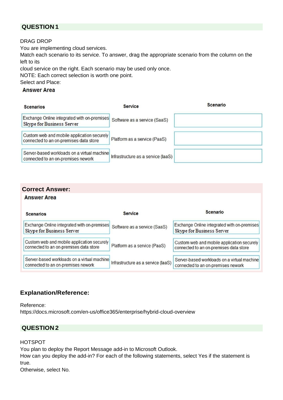#### **QUESTION 1**

#### DRAG DROP

You are implementing cloud services.

Match each scenario to its service. To answer, drag the appropriate scenario from the column on the left to its

cloud service on the right. Each scenario may be used only once.

NOTE: Each correct selection is worth one point.

Select and Place:

#### **Answer Area**

| <b>Scenarios</b>                                                                     | <b>Service</b>                     | Scenario |
|--------------------------------------------------------------------------------------|------------------------------------|----------|
| Exchange Online integrated with on-premises<br>Skype for Business Server             | Software as a service (SaaS)       |          |
| Custom web and mobile application securely<br>connected to an on-premises data store | Platform as a service (PaaS)       |          |
| Server-based workloads on a virtual machine<br>connected to an on-premises nework    | Infrastructure as a service (laaS) |          |

#### **Correct Answer:**

**Answer Area** 

| <b>Scenarios</b>                                                                     | <b>Service</b>                     | Scenario                                                                             |
|--------------------------------------------------------------------------------------|------------------------------------|--------------------------------------------------------------------------------------|
| Exchange Online integrated with on-premises<br>Skype for Business Server             | Software as a service (SaaS)       | Exchange Online integrated with on-premises<br>Skype for Business Server             |
| Custom web and mobile application securely<br>connected to an on-premises data store | Platform as a service (PaaS)       | Custom web and mobile application securely<br>connected to an on-premises data store |
| Server-based workloads on a virtual machine<br>connected to an on-premises nework    | Infrastructure as a service (laaS) | Server-based workloads on a virtual machine<br>connected to an on-premises nework    |

## **Explanation/Reference:**

Reference: https://docs.microsoft.com/en-us/office365/enterprise/hybrid-cloud-overview

## **QUESTION 2**

#### HOTSPOT

You plan to deploy the Report Message add-in to Microsoft Outlook.

How can you deploy the add-in? For each of the following statements, select Yes if the statement is true.

Otherwise, select No.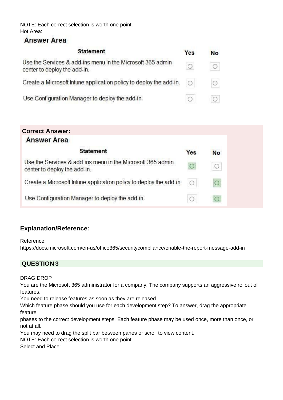NOTE: Each correct selection is worth one point. Hot Area:

## **Answer Area**

| <b>Statement</b>                                                                           | Yes        | <b>No</b> |
|--------------------------------------------------------------------------------------------|------------|-----------|
| Use the Services & add-ins menu in the Microsoft 365 admin<br>center to deploy the add-in. |            |           |
| Create a Microsoft Intune application policy to deploy the add-in.                         | $\bigcirc$ | $\circ$   |
| Use Configuration Manager to deploy the add-in.                                            |            |           |

## **Correct Answer:**

| <b>Answer Area</b>                                                                         |     |           |
|--------------------------------------------------------------------------------------------|-----|-----------|
| <b>Statement</b>                                                                           | Yes | <b>No</b> |
| Use the Services & add-ins menu in the Microsoft 365 admin<br>center to deploy the add-in. |     |           |
| Create a Microsoft Intune application policy to deploy the add-in.                         |     |           |
| Use Configuration Manager to deploy the add-in.                                            |     |           |

## **Explanation/Reference:**

Reference:

https://docs.microsoft.com/en-us/office365/securitycompliance/enable-the-report-message-add-in

## **QUESTION 3**

#### DRAG DROP

You are the Microsoft 365 administrator for a company. The company supports an aggressive rollout of features.

You need to release features as soon as they are released.

Which feature phase should you use for each development step? To answer, drag the appropriate feature

phases to the correct development steps. Each feature phase may be used once, more than once, or not at all.

You may need to drag the split bar between panes or scroll to view content.

NOTE: Each correct selection is worth one point.

Select and Place: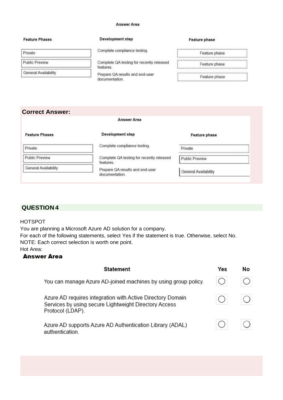#### **Answer Area**

#### **Feature Phases**

Public Preview

**General Availability** 

Private

#### Development step

Complete compliance testing.

Complete QA testing for recently released features.

Prepare QA results and end-user documentation.

| <b>Feature phase</b> |  |
|----------------------|--|
|----------------------|--|

| Feature phase |  |
|---------------|--|
| Feature phase |  |
| Feature phase |  |

#### **Correct Answer:**

#### Answer Area

| <b>Feature Phases</b> | Development step                                       | Feature phase               |
|-----------------------|--------------------------------------------------------|-----------------------------|
| Private               | Complete compliance testing.                           | Private                     |
| <b>Public Preview</b> | Complete QA testing for recently released<br>features. | Public Preview              |
| General Availability  | Prepare QA results and end-user<br>documentation.      | <b>General Availability</b> |

#### **QUESTION 4**

#### HOTSPOT

You are planning a Microsoft Azure AD solution for a company.

For each of the following statements, select Yes if the statement is true. Otherwise, select No. NOTE: Each correct selection is worth one point.

Hot Area:

#### **Answer Area**

| <b>Statement</b>                                                                                                                        | Yes | No |
|-----------------------------------------------------------------------------------------------------------------------------------------|-----|----|
| You can manage Azure AD-joined machines by using group policy.                                                                          |     |    |
| Azure AD requires integration with Active Directory Domain<br>Services by using secure Lightweight Directory Access<br>Protocol (LDAP). |     |    |
| Azure AD supports Azure AD Authentication Library (ADAL)<br>authentication.                                                             |     |    |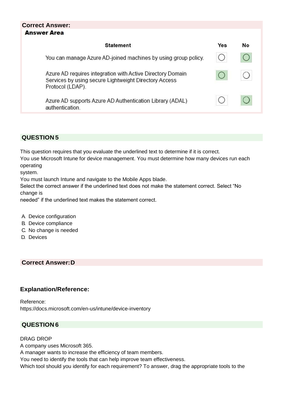| <b>Correct Answer:</b><br><b>Answer Area</b>                                                                                            |     |    |
|-----------------------------------------------------------------------------------------------------------------------------------------|-----|----|
| <b>Statement</b>                                                                                                                        | Yes | No |
| You can manage Azure AD-joined machines by using group policy.                                                                          |     |    |
| Azure AD requires integration with Active Directory Domain<br>Services by using secure Lightweight Directory Access<br>Protocol (LDAP). |     |    |
| Azure AD supports Azure AD Authentication Library (ADAL)<br>authentication.                                                             |     |    |

## **QUESTION 5**

This question requires that you evaluate the underlined text to determine if it is correct.

You use Microsoft Intune for device management. You must determine how many devices run each operating

system.

You must launch Intune and navigate to the Mobile Apps blade.

Select the correct answer if the underlined text does not make the statement correct. Select "No change is

needed" if the underlined text makes the statement correct.

- A. Device configuration
- B. Device compliance
- C. No change is needed
- D. Devices

#### **Correct Answer:D**

#### **Explanation/Reference:**

Reference: https://docs.microsoft.com/en-us/intune/device-inventory

## **QUESTION 6**

#### DRAG DROP

A company uses Microsoft 365.

A manager wants to increase the efficiency of team members.

You need to identify the tools that can help improve team effectiveness.

Which tool should you identify for each requirement? To answer, drag the appropriate tools to the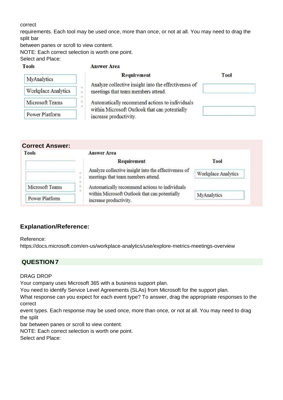#### correct

**Tools** 

requirements. Each tool may be used once, more than once, or not at all. You may need to drag the split bar

between panes or scroll to view content.

NOTE: Each correct selection is worth one point.

Select and Place:

#### **Answer Area**

| MyAnalytics         | Requirement                                                                                     | Tool |
|---------------------|-------------------------------------------------------------------------------------------------|------|
| Workplace Analytics | Analyze collective insight into the effectiveness of<br>o<br>meetings that team members attend. |      |
| Microsoft Teams     | Automatically recommend actions to individuals                                                  |      |
| Power Platform      | within Microsoft Outlook that can potentially<br>increase productivity.                         |      |

| <b>Tools</b>    | <b>Answer Area</b>                                                                         |                     |
|-----------------|--------------------------------------------------------------------------------------------|---------------------|
|                 | Requirement                                                                                | Tool                |
|                 | Analyze collective insight into the effectiveness of<br>meetings that team members attend. | Workplace Analytics |
| Microsoft Teams | ۰<br>Automatically recommend actions to individuals<br>O.<br>$\alpha$                      |                     |
| Power Platform  | within Microsoft Outlook that can potentially<br>increase productivity.                    | MyAnalytics         |

## **Explanation/Reference:**

#### Reference:

https://docs.microsoft.com/en-us/workplace-analytics/use/explore-metrics-meetings-overview

## **QUESTION 7**

#### DRAG DROP

Your company uses Microsoft 365 with a business support plan.

You need to identify Service Level Agreements (SLAs) from Microsoft for the support plan.

What response can you expect for each event type? To answer, drag the appropriate responses to the correct

event types. Each response may be used once, more than once, or not at all. You may need to drag the split

bar between panes or scroll to view content.

NOTE: Each correct selection is worth one point.

Select and Place: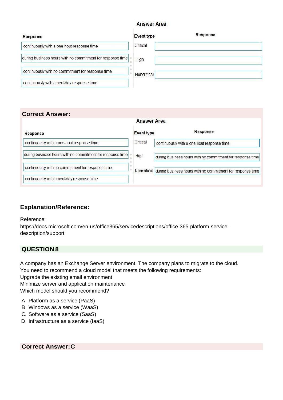#### **Answer Area**

| Response                                                   | Event type  | Response |
|------------------------------------------------------------|-------------|----------|
| continuously with a one-hout response time                 | Critical    |          |
| during business hours with no commitment for response time | High        |          |
| continuously with no commitment for response time          | Noncritical |          |
| continuously with a next-day response time                 |             |          |

#### **Correct Answer:**

|                                                            | Answer Area |                                                                        |
|------------------------------------------------------------|-------------|------------------------------------------------------------------------|
| Response                                                   | Event type  | Response                                                               |
| continuously with a one-hout response time                 | Critical    | continuously with a one-hout response time                             |
| during business hours with no commitment for response time | High        | during business hours with no commitment for response time             |
| continuously with no commitment for response time          |             | Noncritical during business hours with no commitment for response time |
| continuously with a next-day response time                 |             |                                                                        |

#### **Explanation/Reference:**

Reference:

https://docs.microsoft.com/en-us/office365/servicedescriptions/office-365-platform-servicedescription/support

## **QUESTION 8**

A company has an Exchange Server environment. The company plans to migrate to the cloud.

You need to recommend a cloud model that meets the following requirements:

Upgrade the existing email environment

Minimize server and application maintenance

Which model should you recommend?

- A. Platform as a service (PaaS)
- B. Windows as a service (WaaS)
- C. Software as a service (SaaS)
- D. Infrastructure as a service (IaaS)

**Correct Answer:C**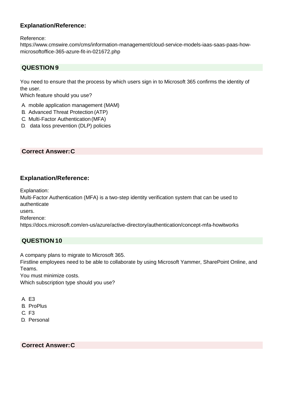Reference:

[https://www.cmswire.com/cms/information-management/cloud-service-models-iaas-saas-paas-how](http://www.cmswire.com/cms/information-management/cloud-service-models-iaas-saas-paas-how-)microsoftoffice-365-azure-fit-in-021672.php

## **QUESTION 9**

You need to ensure that the process by which users sign in to Microsoft 365 confirms the identity of the user.

Which feature should you use?

- A. mobile application management (MAM)
- B. Advanced Threat Protection (ATP)
- C. Multi-Factor Authentication (MFA)
- D. data loss prevention (DLP) policies

#### **Correct Answer:C**

#### **Explanation/Reference:**

Explanation:

Multi-Factor Authentication (MFA) is a two-step identity verification system that can be used to authenticate

users.

Reference:

https://docs.microsoft.com/en-us/azure/active-directory/authentication/concept-mfa-howitworks

## **QUESTION 10**

A company plans to migrate to Microsoft 365.

Firstline employees need to be able to collaborate by using Microsoft Yammer, SharePoint Online, and Teams.

You must minimize costs.

Which subscription type should you use?

A. E3

- B. ProPlus
- C. F3
- D. Personal

#### **Correct Answer:C**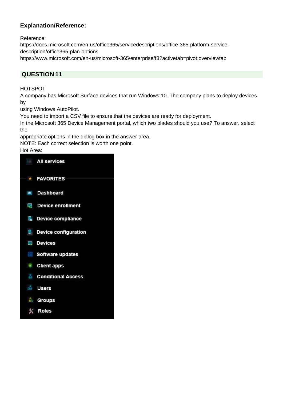Reference:

https://docs.microsoft.com/en-us/office365/servicedescriptions/office-365-platform-servicedescription/office365-plan-options [https://www.microsoft.com/en-us/microsoft-365/enterprise/f3?activetab=pivot:overviewtab](http://www.microsoft.com/en-us/microsoft-365/enterprise/f3?activetab=pivot%3Aoverviewtab)

#### **QUESTION 11**

#### HOTSPOT

A company has Microsoft Surface devices that run Windows 10. The company plans to deploy devices by

using Windows AutoPilot.

You need to import a CSV file to ensure that the devices are ready for deployment.

In the Microsoft 365 Device Management portal, which two blades should you use? To answer, select the

appropriate options in the dialog box in the answer area.

NOTE: Each correct selection is worth one point.

#### Hot Area:

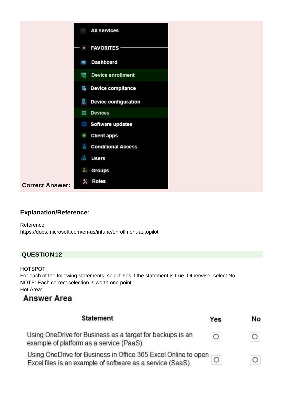

Reference: https://docs.microsoft.com/en-us/intune/enrollment-autopilot

## **QUESTION 12**

#### HOTSPOT

For each of the following statements, select Yes if the statement is true. Otherwise, select No. NOTE: Each correct selection is worth one point. Hot Area:

# **Answer Area**

| <b>Statement</b>                                                                                                             | Yes | No |
|------------------------------------------------------------------------------------------------------------------------------|-----|----|
| Using OneDrive for Business as a target for backups is an<br>example of platform as a service (PaaS).                        | O   |    |
| Using OneDrive for Business in Office 365 Excel Online to open<br>Excel files is an example of software as a service (SaaS). |     |    |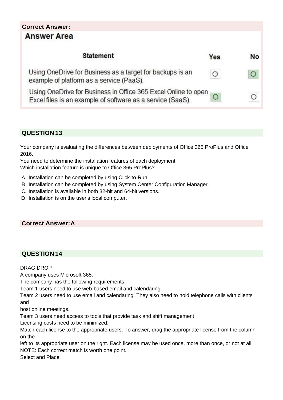## **Correct Answer:Answer Area**

| <b>Statement</b>                                                                                                             | Yes | No |
|------------------------------------------------------------------------------------------------------------------------------|-----|----|
| Using OneDrive for Business as a target for backups is an<br>example of platform as a service (PaaS).                        | O   |    |
| Using OneDrive for Business in Office 365 Excel Online to open<br>Excel files is an example of software as a service (SaaS). |     |    |

## **QUESTION 13**

Your company is evaluating the differences between deployments of Office 365 ProPlus and Office 2016.

You need to determine the installation features of each deployment. Which installation feature is unique to Office 365 ProPlus?

- A. Installation can be completed by using Click-to-Run
- B. Installation can be completed by using System Center Configuration Manager.
- C. Installation is available in both 32-bit and 64-bit versions.
- D. Installation is on the user's local computer.

#### **Correct Answer:A**

## **QUESTION 14**

#### DRAG DROP

A company uses Microsoft 365.

The company has the following requirements:

Team 1 users need to use web-based email and calendaring.

Team 2 users need to use email and calendaring. They also need to hold telephone calls with clients and

host online meetings.

Team 3 users need access to tools that provide task and shift management

Licensing costs need to be minimized.

Match each license to the appropriate users. To answer, drag the appropriate license from the column on the

left to its appropriate user on the right. Each license may be used once, more than once, or not at all. NOTE: Each correct match is worth one point.

Select and Place: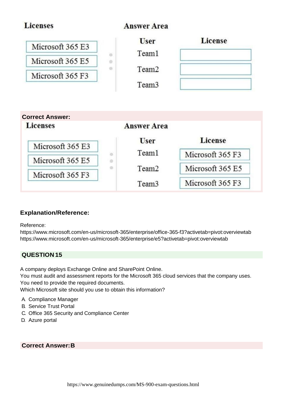| <b>Licenses</b>                                               |             | <b>Answer Area</b>                                             |                  |
|---------------------------------------------------------------|-------------|----------------------------------------------------------------|------------------|
| Microsoft 365 E3<br>Microsoft 365 E5<br>Microsoft 365 F3      | a<br>۰<br>o | <b>User</b><br>Team1<br>Team <sub>2</sub><br>Team <sub>3</sub> | <b>License</b>   |
|                                                               |             |                                                                |                  |
|                                                               |             |                                                                |                  |
|                                                               |             | <b>Answer Area</b>                                             |                  |
| <b>Correct Answer:</b><br><b>Licenses</b><br>Microsoft 365 E3 |             | <b>User</b>                                                    | <b>License</b>   |
|                                                               | a<br>o      | Team1                                                          | Microsoft 365 F3 |
| Microsoft 365 E5<br>Microsoft 365 F3                          | o           | Team <sub>2</sub>                                              | Microsoft 365 E5 |

Reference:

[https://www.microsoft.com/en-us/microsoft-365/enterprise/office-365-f3?activetab=pivot:overviewtab](http://www.microsoft.com/en-us/microsoft-365/enterprise/office-365-f3?activetab=pivot%3Aoverviewtab) [https://www.microsoft.com/en-us/microsoft-365/enterprise/e5?activetab=pivot:overviewtab](http://www.microsoft.com/en-us/microsoft-365/enterprise/e5?activetab=pivot%3Aoverviewtab)

## **QUESTION 15**

A company deploys Exchange Online and SharePoint Online. You must audit and assessment reports for the Microsoft 365 cloud services that the company uses. You need to provide the required documents. Which Microsoft site should you use to obtain this information?

- A. Compliance Manager
- B. Service Trust Portal
- C. Office 365 Security and Compliance Center
- D. Azure portal

#### **Correct Answer:B**